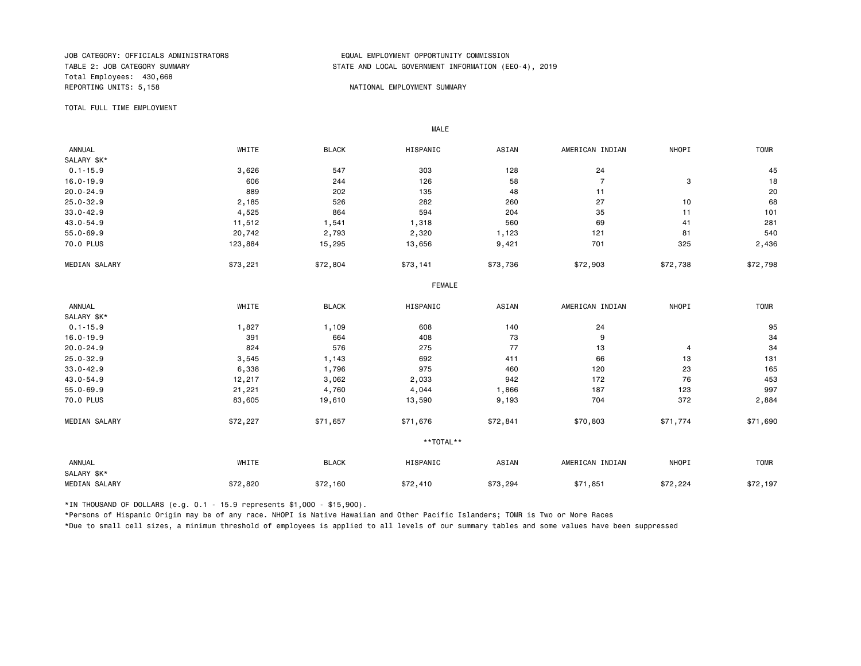Total Employees: 430,668 REPORTING UNITS: 5,158 NATIONAL EMPLOYMENT SUMMARY

### JOB CATEGORY: OFFICIALS ADMINISTRATORS<br>TABLE 2: JOB CATEGORY SUMMARY TABLE 2: JOB CATEGORY SUMMARY STATE AND LOCAL GOVERNMENT INFORMATION (EEO-4), 2019

TOTAL FULL TIME EMPLOYMENT

 ANNUAL WHITE BLACK HISPANIC ASIAN AMERICAN INDIAN NHOPI TOMR SALARY \$K\*<br>0.1-15.9 0.1-15.9 3,626 547 303 128 24 45 16.0-19.9 606 244 126 58 7 3 18 20.0-24.9 889 202 135 48 11 20 25.0-32.9 2,185 526 282 260 27 10 68 33.0-42.9 4,525 864 594 204 35 11 101 43.0-54.9 11,512 1,541 1,318 560 69 41 281 55.0-69.9 20,742 2,793 2,320 1,123 121 81 540 70.0 PLUS 123,884 15,295 13,656 9,421 701 325 2,436 MEDIAN SALARY \$73,221 \$72,804 \$73,141 \$73,736 \$72,903 \$72,738 \$72,738 FEMALE **FRAME**  ANNUAL WHITE BLACK HISPANIC ASIAN AMERICAN INDIAN NHOPI TOMR SALARY \$K\*<br>0.1-15.9 0.1-15.9 1,827 1,109 608 140 24 95 16.0-19.9 391 664 408 73 9 34 20.0-24.9 824 576 275 77 13 4 34 25.0-32.9 3,545 1,143 692 411 66 13 131 33.0-42.9 6,338 1,796 975 460 120 23 165 43.0-54.9 12,217 3,062 2,033 942 172 76 453 55.0-69.9 21,221 4,760 4,044 1,866 187 123 997 70.0 PLUS 83,605 19,610 13,590 9,193 704 372 2,884 MEDIAN SALARY \$72,227 \$71,657 \$71,676 \$72,841 \$70,803 \$71,774 \$71,690 \*\*TOTAL\*\* ANNUAL WHITE BLACK HISPANIC ASIAN AMERICAN INDIAN NHOPI TOMR SALARY \$K\* MEDIAN SALARY \$72,820 \$72,160 \$73,294 \$71,851 \$72,224 \$72,197

\*IN THOUSAND OF DOLLARS (e.g. 0.1 - 15.9 represents \$1,000 - \$15,900).

MALE

\*Persons of Hispanic Origin may be of any race. NHOPI is Native Hawaiian and Other Pacific Islanders; TOMR is Two or More Races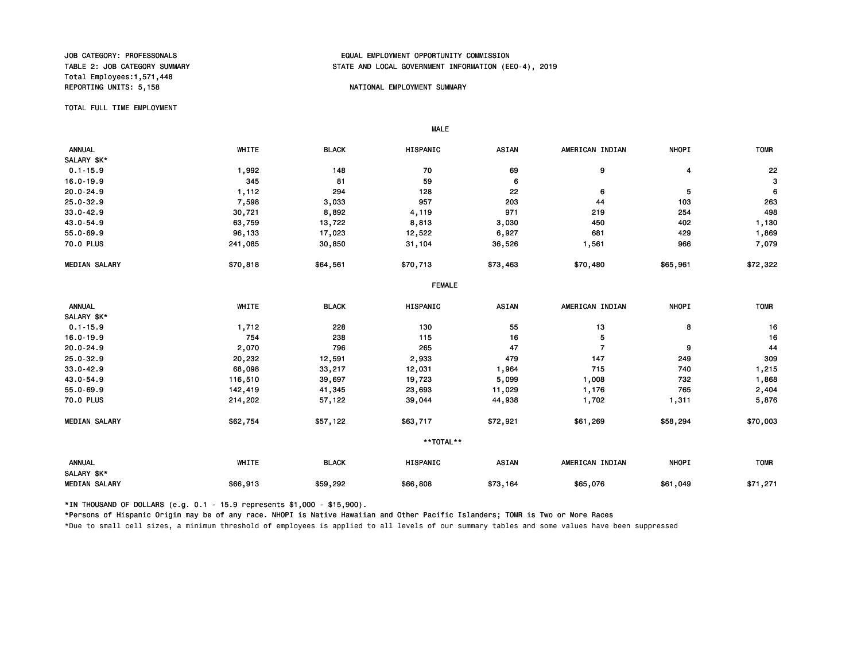Total Employees:1,571,448

## JOB CATEGORY: PROFESSONALS<br>TABLE 2: JOB CATEGORY SUMMARY TABLE AND LOCAL GOVERNMENT INFORMATION (EDUAL TABLE 2: JOB CATEGORY SUMMARY STATE AND LOCAL GOVERNMENT INFORMATION (EEO-4), 2019

#### NATIONAL EMPLOYMENT SUMMARY

### TOTAL FULL TIME EMPLOYMENT

 ANNUAL WHITE BLACK HISPANIC ASIAN AMERICAN INDIAN NHOPI TOMR SALARY \$K\*<br>0.1-15.9 0.1-15.9 1,992 148 70 69 9 4 22 16.0-19.9 345 81 59 6 3 20.0-24.9 1,112 294 128 22 6 5 6 25.0-32.9 7,598 3,033 957 203 44 103 263 33.0-42.9 30,721 8,892 4,119 971 219 254 498 43.0-54.9 63,759 13,722 8,813 3,030 450 402 1,130 55.0-69.9 96,133 17,023 12,522 6,927 681 429 1,869 70.0 PLUS 241,085 30,850 31,104 36,526 1,561 966 7,079 MEDIAN SALARY \$70,818 \$64,561 \$70,713 \$73,463 \$70,480 \$65,961 \$72,322 FEMALE ANNUAL WHITE BLACK HISPANIC ASIAN AMERICAN INDIAN NHOPI TOMR SALARY \$K\*<br>0.1-15.9 0.1-15.9 1,712 228 130 55 13 8 16 16.0-19.9 754 238 115 16 5 16 20.0-24.9 2,070 796 265 47 7 9 44 25.0-32.9 20,232 12,591 2,933 479 147 249 309 33.0-42.9 68,098 33,217 12,031 1,964 715 740 1,215 43.0-54.9 116,510 39,697 19,723 5,099 1,008 732 1,868 55.0-69.9 142,419 41,345 23,693 11,029 1,176 765 2,404 70.0 PLUS 214,202 57,122 39,044 44,938 1,702 1,311 5,876 MEDIAN SALARY \$62,754 \$57,122 \$63,717 \$72,921 \$61,269 \$58,294 \$70,003 \*\*TOTAL\*\* ANNUAL WHITE BLACK HISPANIC ASIAN AMERICAN INDIAN NHOPI TOMR SALARY \$K\* MEDIAN SALARY \$66,913 \$59,292 \$66,808 \$73,164 \$65,076 \$61,049 \$71,271

\*IN THOUSAND OF DOLLARS (e.g. 0.1 - 15.9 represents \$1,000 - \$15,900).

MALE

\*Persons of Hispanic Origin may be of any race. NHOPI is Native Hawaiian and Other Pacific Islanders; TOMR is Two or More Races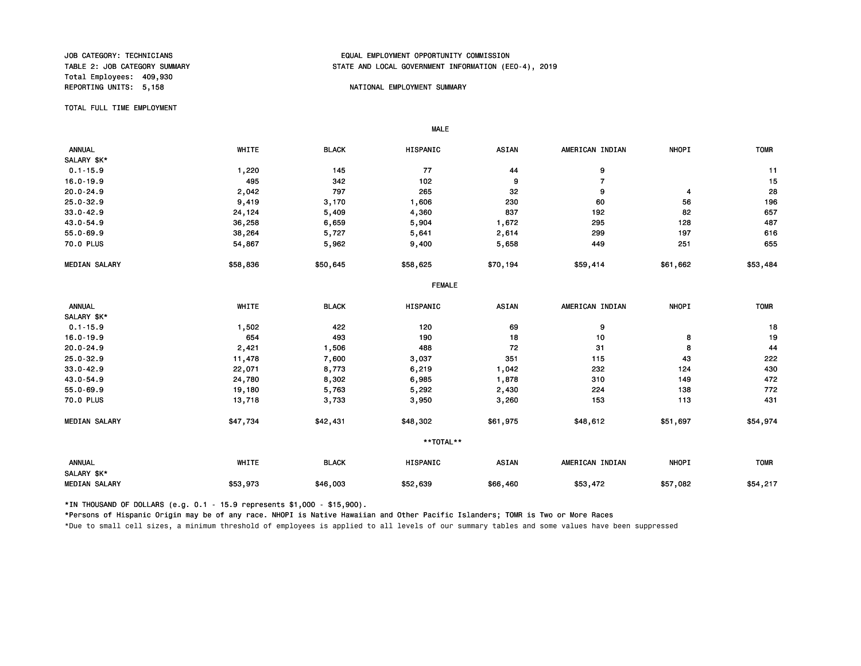Total Employees: 409,930

# JOB CATEGORY: TECHNICIANS<br>TABLE 2: JOB CATEGORY SUMMARY TABLE 2: JOB CATEGORY SUMMARY TABLE 2: JOB CATEGORY SUMMARY STATE AND LOCAL GOVERNMENT INFORMATION (EEO-4), 2019

#### REPORTING UNITS: 5,158 NATIONAL EMPLOYMENT SUMMARY

TOTAL FULL TIME EMPLOYMENT

 ANNUAL WHITE BLACK HISPANIC ASIAN AMERICAN INDIAN NHOPI TOMR SALARY \$K\* 0.1-15.9 1,220 145 77 44 9 11 16.0-19.9 495 342 102 9 7 15 20.0-24.9 2,042 797 265 32 9 4 28 25.0-32.9 9,419 3,170 1,606 230 60 56 196 33.0-42.9 24,124 5,409 4,360 837 192 82 657 43.0-54.9 36,258 6,659 5,904 1,672 295 128 487 55.0-69.9 38,264 5,727 5,641 2,614 299 197 616 70.0 PLUS 54,867 5,962 9,400 5,658 449 251 655 MEDIAN SALARY \$58,836 \$50,645 \$58,625 \$70,194 \$59,414 \$61,662 \$53,484 FEMALE ANNUAL WHITE BLACK HISPANIC ASIAN AMERICAN INDIAN NHOPI TOMR SALARY \$K\*<br>0.1-15.9 0.1-15.9 1,502 422 120 69 9 18 16.0-19.9 654 493 190 18 10 8 19 20.0-24.9 2,421 1,506 488 72 31 8 44 25.0-32.9 11,478 7,600 3,037 351 115 43 222 33.0-42.9 22,071 8,773 6,219 1,042 232 124 430 43.0-54.9 24,780 8,302 6,985 1,878 310 149 472 55.0-69.9 19,180 5,763 5,292 2,430 224 138 772 70.0 PLUS 13,718 3,733 3,950 3,260 153 113 431 MEDIAN SALARY \$47,734 \$42,431 \$48,302 \$61,975 \$48,612 \$51,697 \$54,974 \*\*TOTAL\*\* ANNUAL WHITE BLACK HISPANIC ASIAN AMERICAN INDIAN NHOPI TOMR SALARY \$K\* MEDIAN SALARY \$53,973 \$46,003 \$56,460 \$53,472 \$57,082 \$54,217

\*IN THOUSAND OF DOLLARS (e.g. 0.1 - 15.9 represents \$1,000 - \$15,900).

MALE

\*Persons of Hispanic Origin may be of any race. NHOPI is Native Hawaiian and Other Pacific Islanders; TOMR is Two or More Races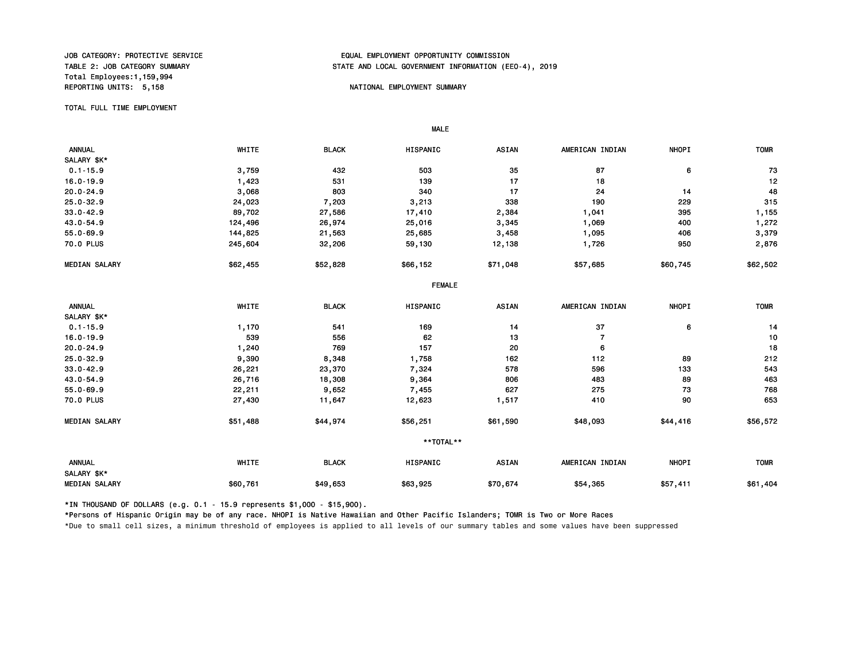Total Employees:1,159,994

# JOB CATEGORY: PROTECTIVE SERVICE<br>TABLE 2: JOB CATEGORY SUMMARY TABLE AND LOCAL GOVERNMENT INFORMATION (EDUAL TABLE 2: JOB CATEGORY SUMMARY STATE AND LOCAL GOVERNMENT INFORMATION (EEO-4), 2019

#### NATIONAL EMPLOYMENT SUMMARY

TOTAL FULL TIME EMPLOYMENT

 ANNUAL WHITE BLACK HISPANIC ASIAN AMERICAN INDIAN NHOPI TOMR SALARY \$K\*  $0.1$ -15.9 6 503 503 503 503 503 87 6 73 6 16.0-19.9 1,423 531 139 17 18 12 20.0-24.9 3,068 803 340 17 24 14 48 25.0-32.9 24,023 7,203 3,213 338 190 229 315 33.0-42.9 89,702 27,586 17,410 2,384 1,041 395 1,155 43.0-54.9 124,496 26,974 25,016 3,345 1,069 400 1,272 55.0-69.9 144,825 21,563 25,685 3,458 1,095 406 3,379 70.0 PLUS 245,604 32,206 59,130 12,138 1,726 950 2,876 MEDIAN SALARY \$62,455 \$52,828 \$66,152 \$71,048 \$57,685 \$60,745 \$62,502 FEMALE ANNUAL WHITE BLACK HISPANIC ASIAN AMERICAN INDIAN NHOPI TOMR SALARY \$K\*<br>0.1-15.9 0.1-15.9 1,170 541 169 14 37 6 14 16.0-19.9 539 556 62 13 7 10 20.0-24.9 1,240 769 157 20 6 18 25.0-32.9 9,390 8,348 1,758 162 112 89 212 33.0-42.9 26,221 23,370 7,324 578 596 133 543 43.0-54.9 26,716 18,308 9,364 806 483 89 463 55.0-69.9 22,211 9,652 7,455 627 275 73 768 70.0 PLUS 27,430 11,647 12,623 1,517 410 90 653 MEDIAN SALARY \$51,488 \$44,974 \$56,251 \$61,590 \$48,093 \$44,416 \$56,572 \*\*TOTAL\*\* ANNUAL WHITE BLACK HISPANIC ASIAN AMERICAN INDIAN NHOPI TOMR SALARY \$K\* MEDIAN SALARY \$60,761 \$49,653 \$63,925 \$70,674 \$54,365 \$57,411 \$61,404

\*IN THOUSAND OF DOLLARS (e.g. 0.1 - 15.9 represents \$1,000 - \$15,900).

MALE

\*Persons of Hispanic Origin may be of any race. NHOPI is Native Hawaiian and Other Pacific Islanders; TOMR is Two or More Races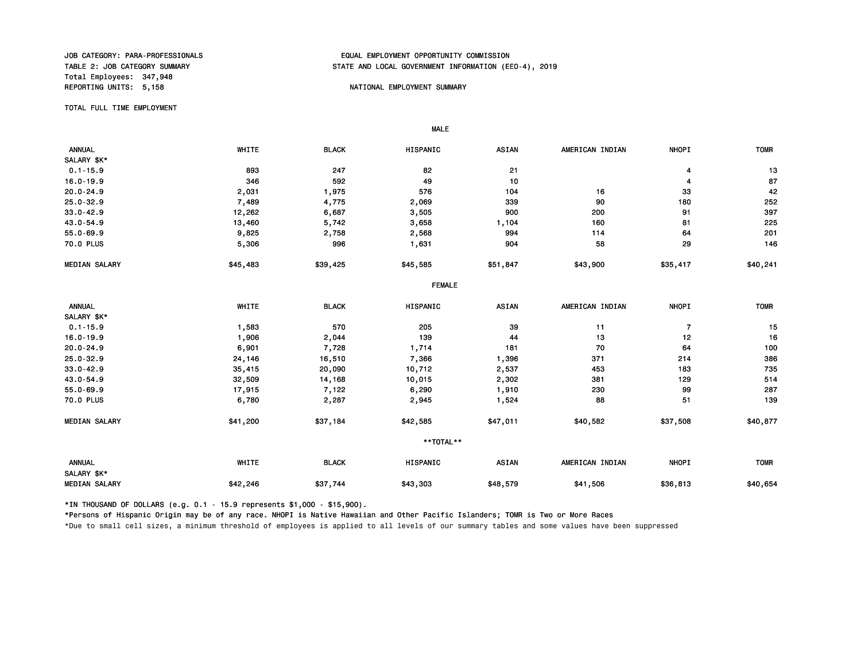Total Employees: 347,948 REPORTING UNITS: 5,158 NATIONAL EMPLOYMENT SUMMARY

# JOB CATEGORY: PARA-PROFESSIONALS<br>TABLE 2: JOB CATEGORY SUMMARY TABLE 2: JOB CATEGORY SUMMARY STATE AND LOCAL GOVERNMENT INFORMATION (EEO-4), 2019

TOTAL FULL TIME EMPLOYMENT

 MALE ANNUAL WHITE BLACK HISPANIC ASIAN AMERICAN INDIAN NHOPI TOMR SALARY \$K\*<br>0.1-15.9  $0.1-15.9$  893 893 247 82 21 921 894 993 13 16.0-19.9 346 592 49 10 4 87 20.0-24.9 2,031 1,975 576 104 16 33 42 25.0-32.9 7,489 4,775 2,069 339 90 180 252 33.0-42.9 12,262 6,687 3,505 900 200 91 397 43.0-54.9 13,460 5,742 3,658 1,104 160 81 225 55.0-69.9 9,825 2,758 2,568 994 114 64 201 70.0 PLUS 5,306 996 1,631 904 58 29 146 MEDIAN SALARY \$45,483 \$39,425 \$45,585 \$51,847 \$43,900 \$35,417 \$40,241 FEMALE ANNUAL WHITE BLACK HISPANIC ASIAN AMERICAN INDIAN NHOPI TOMR SALARY \$K\*<br>0.1-15.9 0.1-15.9 1,583 570 205 39 11 7 15 16.0-19.9 1,906 2,044 139 44 13 12 16 20.0-24.9 6,901 7,728 1,714 181 70 64 100 25.0-32.9 24,146 16,510 7,366 1,396 371 214 386 33.0-42.9 35,415 20,090 10,712 2,537 453 183 735 43.0-54.9 32,509 14,168 10,015 2,302 381 129 514 55.0-69.9 17,915 7,122 6,290 1,910 230 99 287 70.0 PLUS 6,780 2,287 2,945 1,524 88 51 139 MEDIAN SALARY \$41,200 \$37,184 \$42,585 \$47,011 \$40,582 \$37,508 \$40,877 \*\*TOTAL\*\* ANNUAL WHITE BLACK HISPANIC ASIAN AMERICAN INDIAN NHOPI TOMR SALARY \$K\* MEDIAN SALARY \$42,246 \$37,744 \$43,303 \$41,506 \$36,813 \$40,654

\*IN THOUSAND OF DOLLARS (e.g. 0.1 - 15.9 represents \$1,000 - \$15,900).

\*Persons of Hispanic Origin may be of any race. NHOPI is Native Hawaiian and Other Pacific Islanders; TOMR is Two or More Races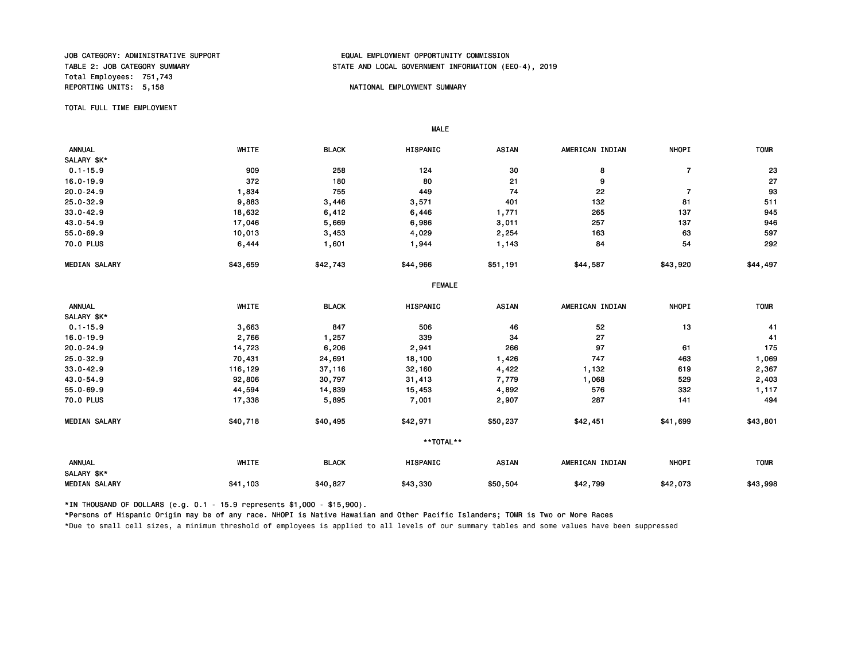Total Employees: 751,743 REPORTING UNITS: 5,158 NATIONAL EMPLOYMENT SUMMARY

## JOB CATEGORY: ADMINISTRATIVE SUPPORT FRAMINIST OP THE SOLIL EMPLOYMENT OPPORTUNITY COMMISSION<br>TABLE 2: JOB CATEGORY SUMMARY FRAMINIST OPPORTUNITY OPPORTUNITY OPPORTUNITY OPPORTUNITY OPPORTUNITY STATE AND LOCAL GOVERNMENT INFORMATION (EEO-4), 2019

TOTAL FULL TIME EMPLOYMENT

 MALE ANNUAL WHITE BLACK HISPANIC ASIAN AMERICAN INDIAN NHOPI TOMR SALARY \$K\*<br>0.1-15.9 0.1-15.9 909 258 124 30 8 7 23 16.0-19.9 372 180 80 21 9 27 20.0-24.9 1,834 755 449 74 22 7 93 25.0-32.9 9,883 3,446 3,571 401 132 81 511 33.0-42.9 18,632 6,412 6,446 1,771 265 137 945 43.0-54.9 17,046 5,669 6,986 3,011 257 137 946 55.0-69.9 10,013 3,453 4,029 2,254 163 63 597 70.0 PLUS 6,444 1,601 1,944 1,143 84 54 292 MEDIAN SALARY \$43,659 \$42,743 \$44,966 \$51,191 \$44,587 \$43,920 \$44,497 FEMALE ANNUAL WHITE BLACK HISPANIC ASIAN AMERICAN INDIAN NHOPI TOMR SALARY \$K\*<br>0.1-15.9 0.1-15.9 3,663 847 506 46 52 13 41 16.0-19.9 2,766 1,257 339 34 27 41 20.0-24.9 14,723 6,206 2,941 266 97 61 175 25.0-32.9 70,431 24,691 18,100 1,426 747 463 1,069 33.0-42.9 116,129 37,116 32,160 4,422 1,132 619 2,367 43.0-54.9 92,806 30,797 31,413 7,779 1,068 529 2,403 55.0-69.9 44,594 14,839 15,453 4,892 576 332 1,117 70.0 PLUS 17,338 5,895 7,001 2,907 287 141 494 MEDIAN SALARY \$40,718 \$40,495 \$42,971 \$42,977 \$42,451 \$41,699 \$43,801 \*\*TOTAL\*\* ANNUAL WHITE BLACK HISPANIC ASIAN AMERICAN INDIAN NHOPI TOMR SALARY \$K\* MEDIAN SALARY \$41,103 \$40,827 \$43,330 \$42,799 \$42,073 \$43,998 \$43,998

\*IN THOUSAND OF DOLLARS (e.g. 0.1 - 15.9 represents \$1,000 - \$15,900).

\*Persons of Hispanic Origin may be of any race. NHOPI is Native Hawaiian and Other Pacific Islanders; TOMR is Two or More Races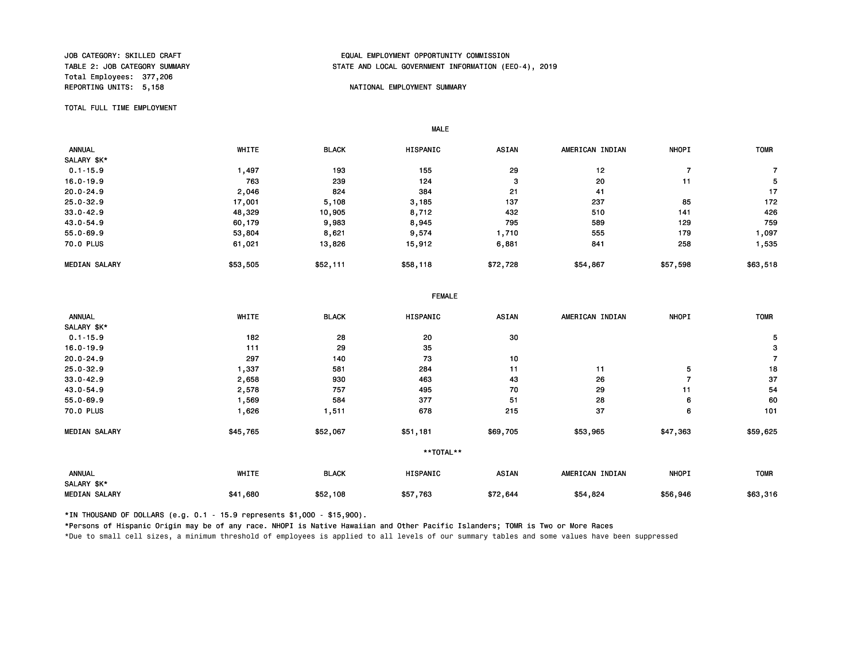Total Employees: 377,206

# JOB CATEGORY: SKILLED CRAFT EQUAL EMPLOYMENT OPPORTUNITY COMMISSION STATE AND LOCAL GOVERNMENT INFORMATION (EEO-4), 2019

#### REPORTING UNITS: 5,158 NATIONAL EMPLOYMENT SUMMARY

TOTAL FULL TIME EMPLOYMENT

 ANNUAL WHITE BLACK HISPANIC ASIAN AMERICAN INDIAN NHOPI TOMR SALARY \$K\*<br>0.1-15.9 0.1-15.9 1,497 193 155 29 12 7 7 16.0-19.9 763 239 124 3 20 11 5 20.0-24.9 2,046 824 384 21 41 17 25.0-32.9 17,001 5,108 3,185 137 237 85 172 33.0-42.9 48,329 10,905 8,712 432 510 141 426 43.0-54.9 60,179 9,983 8,945 795 589 129 759 55.0-69.9 53,804 8,621 9,574 1,710 555 179 1,097 70.0 PLUS 61,021 13,826 15,912 6,881 841 258 1,535 MEDIAN SALARY \$53,505 \$52,111 \$58,118 \$72,728 \$54,867 \$57,598 \$63,518

|                              | <b>FEMALE</b> |              |           |              |                 |              |                |
|------------------------------|---------------|--------------|-----------|--------------|-----------------|--------------|----------------|
| <b>ANNUAL</b><br>SALARY \$K* | WHITE         | <b>BLACK</b> | HISPANIC  | <b>ASIAN</b> | AMERICAN INDIAN | <b>NHOPI</b> | <b>TOMR</b>    |
| $0.1 - 15.9$                 | 182           | 28           | 20        | 30           |                 |              | 5              |
|                              |               |              |           |              |                 |              |                |
| $16.0 - 19.9$                | 111           | 29           | 35        |              |                 |              | 3              |
| $20.0 - 24.9$                | 297           | 140          | 73        | 10           |                 |              | $\overline{7}$ |
| $25.0 - 32.9$                | 1,337         | 581          | 284       | 11           | 11              | 5            | 18             |
| $33.0 - 42.9$                | 2,658         | 930          | 463       | 43           | 26              | 7            | 37             |
| 43.0-54.9                    | 2,578         | 757          | 495       | 70           | 29              | 11           | 54             |
| $55.0 - 69.9$                | 1,569         | 584          | 377       | 51           | 28              | 6            | 60             |
| 70.0 PLUS                    | 1,626         | 1,511        | 678       | 215          | 37              | 6            | 101            |
| <b>MEDIAN SALARY</b>         | \$45,765      | \$52,067     | \$51,181  | \$69,705     | \$53,965        | \$47,363     | \$59,625       |
|                              |               |              | **TOTAL** |              |                 |              |                |
| <b>ANNUAL</b>                | WHITE         | <b>BLACK</b> | HISPANIC  | <b>ASIAN</b> | AMERICAN INDIAN | <b>NHOPI</b> | <b>TOMR</b>    |
| SALARY \$K*                  |               |              |           |              |                 |              |                |
| <b>MEDIAN SALARY</b>         | \$41,680      | \$52,108     | \$57,763  | \$72,644     | \$54,824        | \$56,946     | \$63,316       |

\*IN THOUSAND OF DOLLARS (e.g. 0.1 - 15.9 represents \$1,000 - \$15,900).

MALE

\*Persons of Hispanic Origin may be of any race. NHOPI is Native Hawaiian and Other Pacific Islanders; TOMR is Two or More Races \*Due to small cell sizes, a minimum threshold of employees is applied to all levels of our summary tables and some values have been suppressed